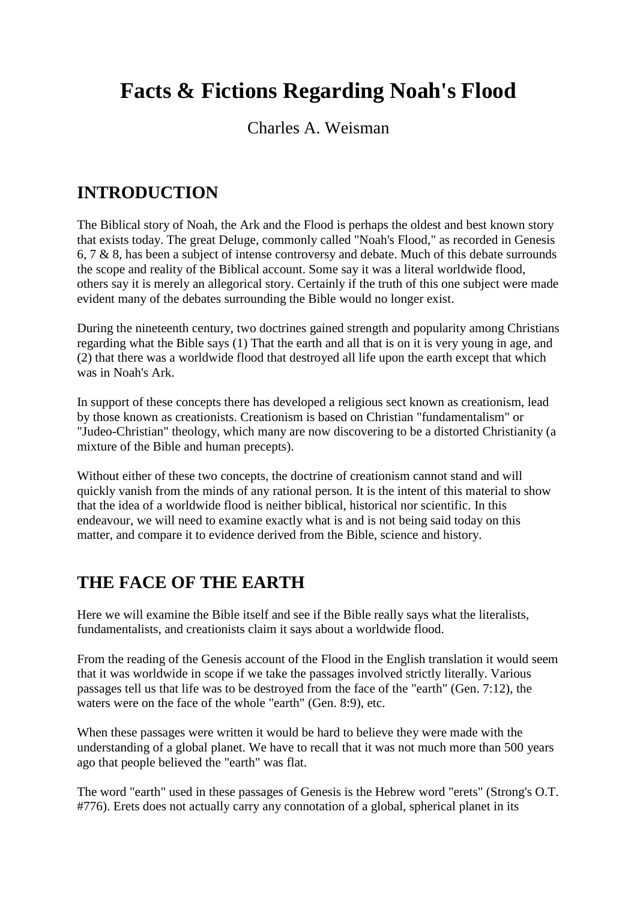# **Facts & Fictions Regarding Noah's Flood**

#### Charles A. Weisman

#### **INTRODUCTION**

The Biblical story of Noah, the Ark and the Flood is perhaps the oldest and best known story that exists today. The great Deluge, commonly called "Noah's Flood," as recorded in Genesis 6, 7 & 8, has been a subject of intense controversy and debate. Much of this debate surrounds the scope and reality of the Biblical account. Some say it was a literal worldwide flood, others say it is merely an allegorical story. Certainly if the truth of this one subject were made evident many of the debates surrounding the Bible would no longer exist.

During the nineteenth century, two doctrines gained strength and popularity among Christians regarding what the Bible says (1) That the earth and all that is on it is very young in age, and (2) that there was a worldwide flood that destroyed all life upon the earth except that which was in Noah's Ark.

In support of these concepts there has developed a religious sect known as creationism, lead by those known as creationists. Creationism is based on Christian "fundamentalism" or "Judeo-Christian" theology, which many are now discovering to be a distorted Christianity (a mixture of the Bible and human precepts).

Without either of these two concepts, the doctrine of creationism cannot stand and will quickly vanish from the minds of any rational person. It is the intent of this material to show that the idea of a worldwide flood is neither biblical, historical nor scientific. In this endeavour, we will need to examine exactly what is and is not being said today on this matter, and compare it to evidence derived from the Bible, science and history.

### **THE FACE OF THE EARTH**

Here we will examine the Bible itself and see if the Bible really says what the literalists, fundamentalists, and creationists claim it says about a worldwide flood.

From the reading of the Genesis account of the Flood in the English translation it would seem that it was worldwide in scope if we take the passages involved strictly literally. Various passages tell us that life was to be destroyed from the face of the "earth" (Gen. 7:12), the waters were on the face of the whole "earth" (Gen. 8:9), etc.

When these passages were written it would be hard to believe they were made with the understanding of a global planet. We have to recall that it was not much more than 500 years ago that people believed the "earth" was flat.

The word "earth" used in these passages of Genesis is the Hebrew word "erets" (Strong's O.T. #776). Erets does not actually carry any connotation of a global, spherical planet in its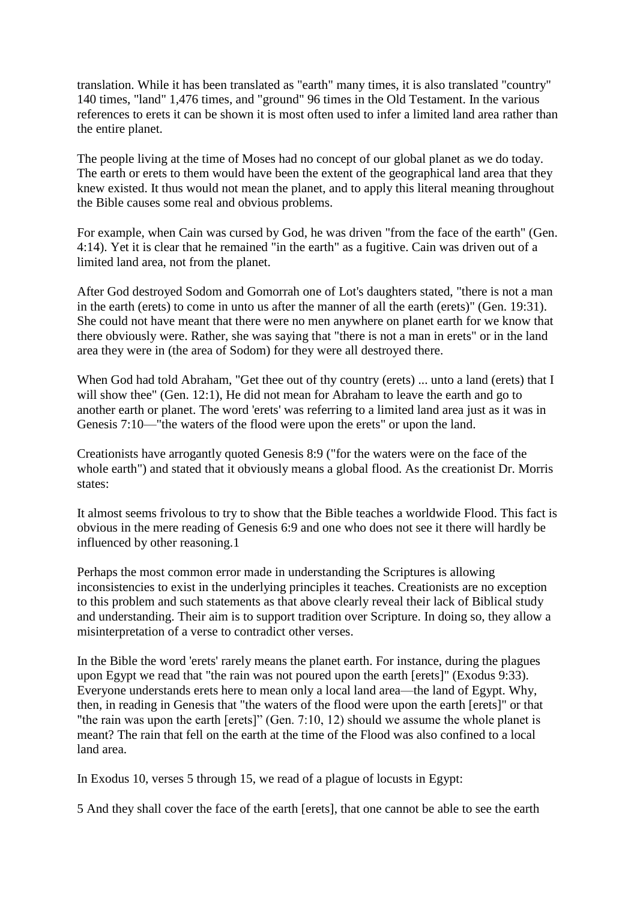translation. While it has been translated as "earth" many times, it is also translated "country" 140 times, "land" 1,476 times, and "ground" 96 times in the Old Testament. In the various references to erets it can be shown it is most often used to infer a limited land area rather than the entire planet.

The people living at the time of Moses had no concept of our global planet as we do today. The earth or erets to them would have been the extent of the geographical land area that they knew existed. It thus would not mean the planet, and to apply this literal meaning throughout the Bible causes some real and obvious problems.

For example, when Cain was cursed by God, he was driven "from the face of the earth" (Gen. 4:14). Yet it is clear that he remained "in the earth" as a fugitive. Cain was driven out of a limited land area, not from the planet.

After God destroyed Sodom and Gomorrah one of Lot's daughters stated, "there is not a man in the earth (erets) to come in unto us after the manner of all the earth (erets)" (Gen. 19:31). She could not have meant that there were no men anywhere on planet earth for we know that there obviously were. Rather, she was saying that "there is not a man in erets" or in the land area they were in (the area of Sodom) for they were all destroyed there.

When God had told Abraham, "Get thee out of thy country (erets) ... unto a land (erets) that I will show thee" (Gen. 12:1), He did not mean for Abraham to leave the earth and go to another earth or planet. The word 'erets' was referring to a limited land area just as it was in Genesis 7:10—"the waters of the flood were upon the erets" or upon the land.

Creationists have arrogantly quoted Genesis 8:9 ("for the waters were on the face of the whole earth") and stated that it obviously means a global flood. As the creationist Dr. Morris states:

It almost seems frivolous to try to show that the Bible teaches a worldwide Flood. This fact is obvious in the mere reading of Genesis 6:9 and one who does not see it there will hardly be influenced by other reasoning.1

Perhaps the most common error made in understanding the Scriptures is allowing inconsistencies to exist in the underlying principles it teaches. Creationists are no exception to this problem and such statements as that above clearly reveal their lack of Biblical study and understanding. Their aim is to support tradition over Scripture. In doing so, they allow a misinterpretation of a verse to contradict other verses.

In the Bible the word 'erets' rarely means the planet earth. For instance, during the plagues upon Egypt we read that "the rain was not poured upon the earth [erets]" (Exodus 9:33). Everyone understands erets here to mean only a local land area—the land of Egypt. Why, then, in reading in Genesis that "the waters of the flood were upon the earth [erets]" or that "the rain was upon the earth [erets]" (Gen. 7:10, 12) should we assume the whole planet is meant? The rain that fell on the earth at the time of the Flood was also confined to a local land area.

In Exodus 10, verses 5 through 15, we read of a plague of locusts in Egypt:

5 And they shall cover the face of the earth [erets], that one cannot be able to see the earth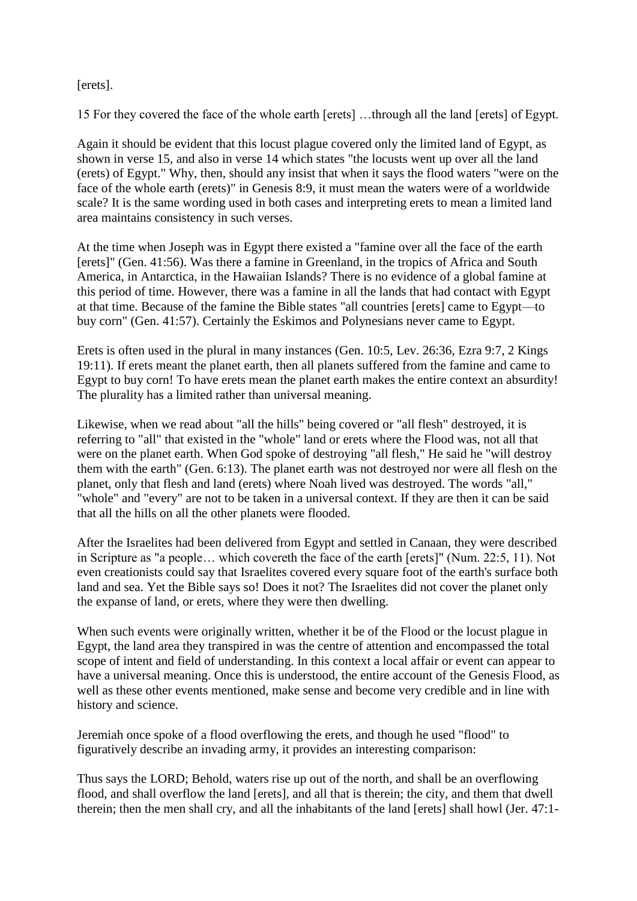#### [erets].

15 For they covered the face of the whole earth [erets] …through all the land [erets] of Egypt.

Again it should be evident that this locust plague covered only the limited land of Egypt, as shown in verse 15, and also in verse 14 which states "the locusts went up over all the land (erets) of Egypt." Why, then, should any insist that when it says the flood waters "were on the face of the whole earth (erets)" in Genesis 8:9, it must mean the waters were of a worldwide scale? It is the same wording used in both cases and interpreting erets to mean a limited land area maintains consistency in such verses.

At the time when Joseph was in Egypt there existed a "famine over all the face of the earth [erets]" (Gen. 41:56). Was there a famine in Greenland, in the tropics of Africa and South America, in Antarctica, in the Hawaiian Islands? There is no evidence of a global famine at this period of time. However, there was a famine in all the lands that had contact with Egypt at that time. Because of the famine the Bible states "all countries [erets] came to Egypt—to buy corn" (Gen. 41:57). Certainly the Eskimos and Polynesians never came to Egypt.

Erets is often used in the plural in many instances (Gen. 10:5, Lev. 26:36, Ezra 9:7, 2 Kings 19:11). If erets meant the planet earth, then all planets suffered from the famine and came to Egypt to buy corn! To have erets mean the planet earth makes the entire context an absurdity! The plurality has a limited rather than universal meaning.

Likewise, when we read about "all the hills" being covered or "all flesh" destroyed, it is referring to "all" that existed in the "whole" land or erets where the Flood was, not all that were on the planet earth. When God spoke of destroying "all flesh," He said he "will destroy them with the earth" (Gen. 6:13). The planet earth was not destroyed nor were all flesh on the planet, only that flesh and land (erets) where Noah lived was destroyed. The words "all," "whole" and "every" are not to be taken in a universal context. If they are then it can be said that all the hills on all the other planets were flooded.

After the Israelites had been delivered from Egypt and settled in Canaan, they were described in Scripture as "a people… which covereth the face of the earth [erets]" (Num. 22:5, 11). Not even creationists could say that Israelites covered every square foot of the earth's surface both land and sea. Yet the Bible says so! Does it not? The Israelites did not cover the planet only the expanse of land, or erets, where they were then dwelling.

When such events were originally written, whether it be of the Flood or the locust plague in Egypt, the land area they transpired in was the centre of attention and encompassed the total scope of intent and field of understanding. In this context a local affair or event can appear to have a universal meaning. Once this is understood, the entire account of the Genesis Flood, as well as these other events mentioned, make sense and become very credible and in line with history and science.

Jeremiah once spoke of a flood overflowing the erets, and though he used "flood" to figuratively describe an invading army, it provides an interesting comparison:

Thus says the LORD; Behold, waters rise up out of the north, and shall be an overflowing flood, and shall overflow the land [erets], and all that is therein; the city, and them that dwell therein; then the men shall cry, and all the inhabitants of the land [erets] shall howl (Jer. 47:1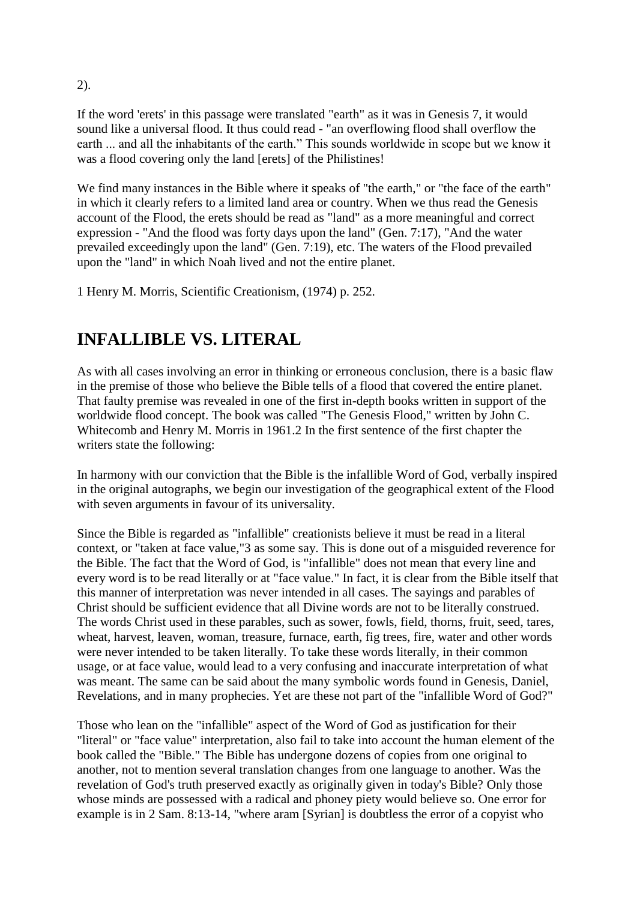If the word 'erets' in this passage were translated "earth" as it was in Genesis 7, it would sound like a universal flood. It thus could read - "an overflowing flood shall overflow the earth ... and all the inhabitants of the earth." This sounds worldwide in scope but we know it was a flood covering only the land [erets] of the Philistines!

We find many instances in the Bible where it speaks of "the earth," or "the face of the earth" in which it clearly refers to a limited land area or country. When we thus read the Genesis account of the Flood, the erets should be read as "land" as a more meaningful and correct expression - "And the flood was forty days upon the land" (Gen. 7:17), "And the water prevailed exceedingly upon the land" (Gen. 7:19), etc. The waters of the Flood prevailed upon the "land" in which Noah lived and not the entire planet.

1 Henry M. Morris, Scientific Creationism, (1974) p. 252.

## **INFALLIBLE VS. LITERAL**

As with all cases involving an error in thinking or erroneous conclusion, there is a basic flaw in the premise of those who believe the Bible tells of a flood that covered the entire planet. That faulty premise was revealed in one of the first in-depth books written in support of the worldwide flood concept. The book was called "The Genesis Flood," written by John C. Whitecomb and Henry M. Morris in 1961.2 In the first sentence of the first chapter the writers state the following:

In harmony with our conviction that the Bible is the infallible Word of God, verbally inspired in the original autographs, we begin our investigation of the geographical extent of the Flood with seven arguments in favour of its universality.

Since the Bible is regarded as "infallible" creationists believe it must be read in a literal context, or "taken at face value,"3 as some say. This is done out of a misguided reverence for the Bible. The fact that the Word of God, is "infallible" does not mean that every line and every word is to be read literally or at "face value." In fact, it is clear from the Bible itself that this manner of interpretation was never intended in all cases. The sayings and parables of Christ should be sufficient evidence that all Divine words are not to be literally construed. The words Christ used in these parables, such as sower, fowls, field, thorns, fruit, seed, tares, wheat, harvest, leaven, woman, treasure, furnace, earth, fig trees, fire, water and other words were never intended to be taken literally. To take these words literally, in their common usage, or at face value, would lead to a very confusing and inaccurate interpretation of what was meant. The same can be said about the many symbolic words found in Genesis, Daniel, Revelations, and in many prophecies. Yet are these not part of the "infallible Word of God?"

Those who lean on the "infallible" aspect of the Word of God as justification for their "literal" or "face value" interpretation, also fail to take into account the human element of the book called the "Bible." The Bible has undergone dozens of copies from one original to another, not to mention several translation changes from one language to another. Was the revelation of God's truth preserved exactly as originally given in today's Bible? Only those whose minds are possessed with a radical and phoney piety would believe so. One error for example is in 2 Sam. 8:13-14, "where aram [Syrian] is doubtless the error of a copyist who

2).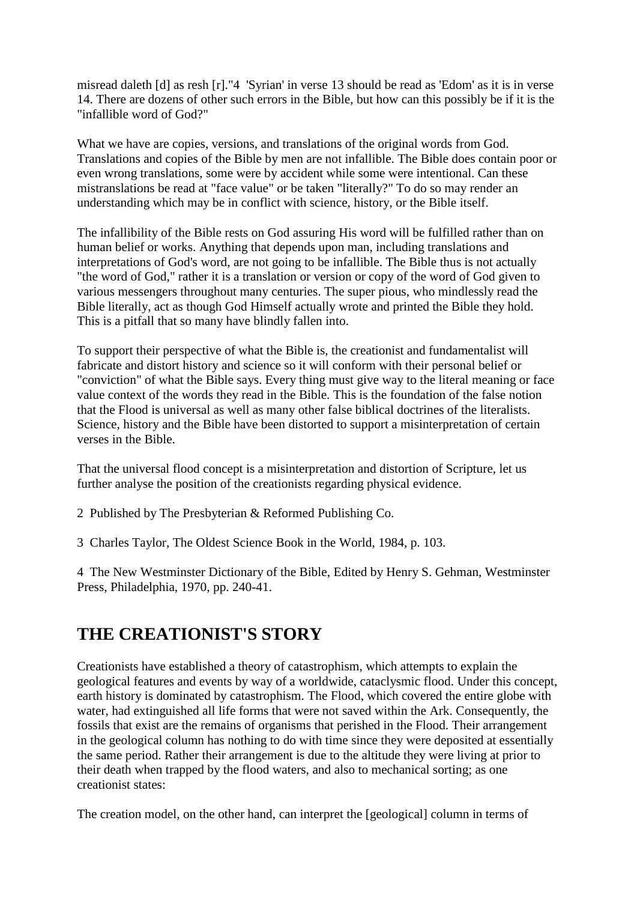misread daleth [d] as resh [r]."4 'Syrian' in verse 13 should be read as 'Edom' as it is in verse 14. There are dozens of other such errors in the Bible, but how can this possibly be if it is the "infallible word of God?"

What we have are copies, versions, and translations of the original words from God. Translations and copies of the Bible by men are not infallible. The Bible does contain poor or even wrong translations, some were by accident while some were intentional. Can these mistranslations be read at "face value" or be taken "literally?" To do so may render an understanding which may be in conflict with science, history, or the Bible itself.

The infallibility of the Bible rests on God assuring His word will be fulfilled rather than on human belief or works. Anything that depends upon man, including translations and interpretations of God's word, are not going to be infallible. The Bible thus is not actually "the word of God," rather it is a translation or version or copy of the word of God given to various messengers throughout many centuries. The super pious, who mindlessly read the Bible literally, act as though God Himself actually wrote and printed the Bible they hold. This is a pitfall that so many have blindly fallen into.

To support their perspective of what the Bible is, the creationist and fundamentalist will fabricate and distort history and science so it will conform with their personal belief or "conviction" of what the Bible says. Every thing must give way to the literal meaning or face value context of the words they read in the Bible. This is the foundation of the false notion that the Flood is universal as well as many other false biblical doctrines of the literalists. Science, history and the Bible have been distorted to support a misinterpretation of certain verses in the Bible.

That the universal flood concept is a misinterpretation and distortion of Scripture, let us further analyse the position of the creationists regarding physical evidence.

- 2 Published by The Presbyterian & Reformed Publishing Co.
- 3 Charles Taylor, The Oldest Science Book in the World, 1984, p. 103.

4 The New Westminster Dictionary of the Bible, Edited by Henry S. Gehman, Westminster Press, Philadelphia, 1970, pp. 240-41.

### **THE CREATIONIST'S STORY**

Creationists have established a theory of catastrophism, which attempts to explain the geological features and events by way of a worldwide, cataclysmic flood. Under this concept, earth history is dominated by catastrophism. The Flood, which covered the entire globe with water, had extinguished all life forms that were not saved within the Ark. Consequently, the fossils that exist are the remains of organisms that perished in the Flood. Their arrangement in the geological column has nothing to do with time since they were deposited at essentially the same period. Rather their arrangement is due to the altitude they were living at prior to their death when trapped by the flood waters, and also to mechanical sorting; as one creationist states:

The creation model, on the other hand, can interpret the [geological] column in terms of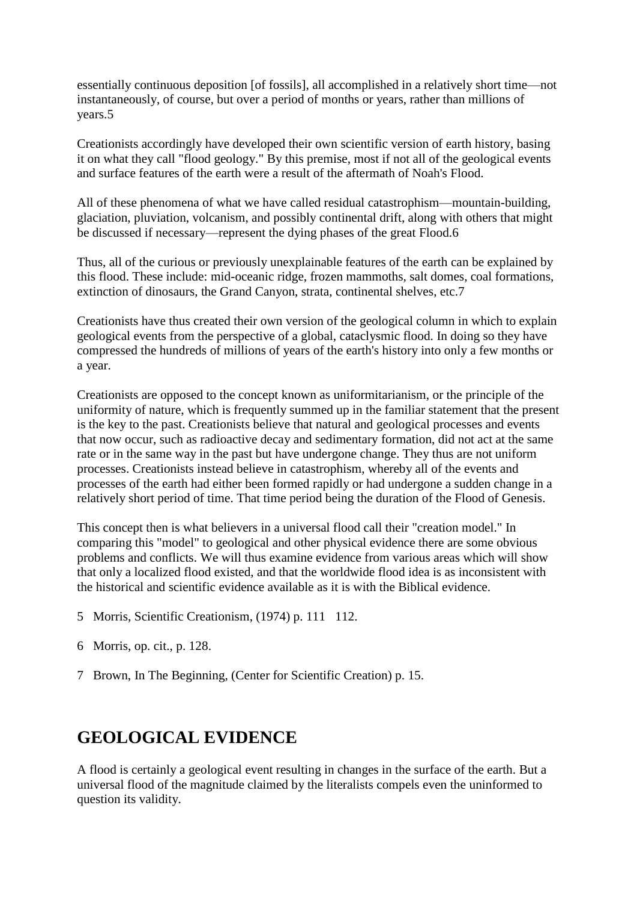essentially continuous deposition [of fossils], all accomplished in a relatively short time—not instantaneously, of course, but over a period of months or years, rather than millions of years.5

Creationists accordingly have developed their own scientific version of earth history, basing it on what they call "flood geology." By this premise, most if not all of the geological events and surface features of the earth were a result of the aftermath of Noah's Flood.

All of these phenomena of what we have called residual catastrophism—mountain-building, glaciation, pluviation, volcanism, and possibly continental drift, along with others that might be discussed if necessary—represent the dying phases of the great Flood.6

Thus, all of the curious or previously unexplainable features of the earth can be explained by this flood. These include: mid-oceanic ridge, frozen mammoths, salt domes, coal formations, extinction of dinosaurs, the Grand Canyon, strata, continental shelves, etc.7

Creationists have thus created their own version of the geological column in which to explain geological events from the perspective of a global, cataclysmic flood. In doing so they have compressed the hundreds of millions of years of the earth's history into only a few months or a year.

Creationists are opposed to the concept known as uniformitarianism, or the principle of the uniformity of nature, which is frequently summed up in the familiar statement that the present is the key to the past. Creationists believe that natural and geological processes and events that now occur, such as radioactive decay and sedimentary formation, did not act at the same rate or in the same way in the past but have undergone change. They thus are not uniform processes. Creationists instead believe in catastrophism, whereby all of the events and processes of the earth had either been formed rapidly or had undergone a sudden change in a relatively short period of time. That time period being the duration of the Flood of Genesis.

This concept then is what believers in a universal flood call their "creation model." In comparing this "model" to geological and other physical evidence there are some obvious problems and conflicts. We will thus examine evidence from various areas which will show that only a localized flood existed, and that the worldwide flood idea is as inconsistent with the historical and scientific evidence available as it is with the Biblical evidence.

- 5 Morris, Scientific Creationism, (1974) p. 111 112.
- 6 Morris, op. cit., p. 128.
- 7 Brown, In The Beginning, (Center for Scientific Creation) p. 15.

### **GEOLOGICAL EVIDENCE**

A flood is certainly a geological event resulting in changes in the surface of the earth. But a universal flood of the magnitude claimed by the literalists compels even the uninformed to question its validity.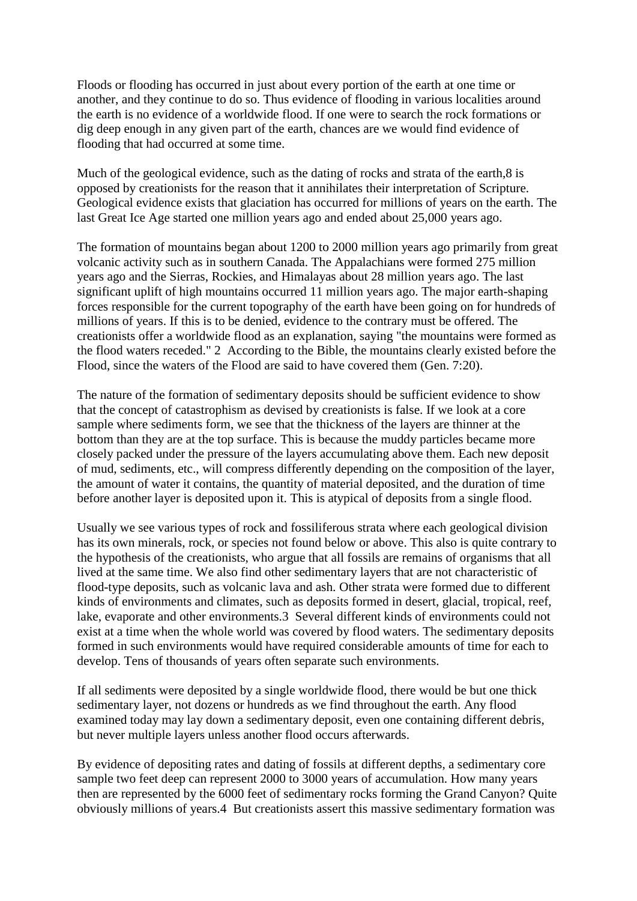Floods or flooding has occurred in just about every portion of the earth at one time or another, and they continue to do so. Thus evidence of flooding in various localities around the earth is no evidence of a worldwide flood. If one were to search the rock formations or dig deep enough in any given part of the earth, chances are we would find evidence of flooding that had occurred at some time.

Much of the geological evidence, such as the dating of rocks and strata of the earth,8 is opposed by creationists for the reason that it annihilates their interpretation of Scripture. Geological evidence exists that glaciation has occurred for millions of years on the earth. The last Great Ice Age started one million years ago and ended about 25,000 years ago.

The formation of mountains began about 1200 to 2000 million years ago primarily from great volcanic activity such as in southern Canada. The Appalachians were formed 275 million years ago and the Sierras, Rockies, and Himalayas about 28 million years ago. The last significant uplift of high mountains occurred 11 million years ago. The major earth-shaping forces responsible for the current topography of the earth have been going on for hundreds of millions of years. If this is to be denied, evidence to the contrary must be offered. The creationists offer a worldwide flood as an explanation, saying "the mountains were formed as the flood waters receded." 2 According to the Bible, the mountains clearly existed before the Flood, since the waters of the Flood are said to have covered them (Gen. 7:20).

The nature of the formation of sedimentary deposits should be sufficient evidence to show that the concept of catastrophism as devised by creationists is false. If we look at a core sample where sediments form, we see that the thickness of the layers are thinner at the bottom than they are at the top surface. This is because the muddy particles became more closely packed under the pressure of the layers accumulating above them. Each new deposit of mud, sediments, etc., will compress differently depending on the composition of the layer, the amount of water it contains, the quantity of material deposited, and the duration of time before another layer is deposited upon it. This is atypical of deposits from a single flood.

Usually we see various types of rock and fossiliferous strata where each geological division has its own minerals, rock, or species not found below or above. This also is quite contrary to the hypothesis of the creationists, who argue that all fossils are remains of organisms that all lived at the same time. We also find other sedimentary layers that are not characteristic of flood-type deposits, such as volcanic lava and ash. Other strata were formed due to different kinds of environments and climates, such as deposits formed in desert, glacial, tropical, reef, lake, evaporate and other environments.3 Several different kinds of environments could not exist at a time when the whole world was covered by flood waters. The sedimentary deposits formed in such environments would have required considerable amounts of time for each to develop. Tens of thousands of years often separate such environments.

If all sediments were deposited by a single worldwide flood, there would be but one thick sedimentary layer, not dozens or hundreds as we find throughout the earth. Any flood examined today may lay down a sedimentary deposit, even one containing different debris, but never multiple layers unless another flood occurs afterwards.

By evidence of depositing rates and dating of fossils at different depths, a sedimentary core sample two feet deep can represent 2000 to 3000 years of accumulation. How many years then are represented by the 6000 feet of sedimentary rocks forming the Grand Canyon? Quite obviously millions of years.4 But creationists assert this massive sedimentary formation was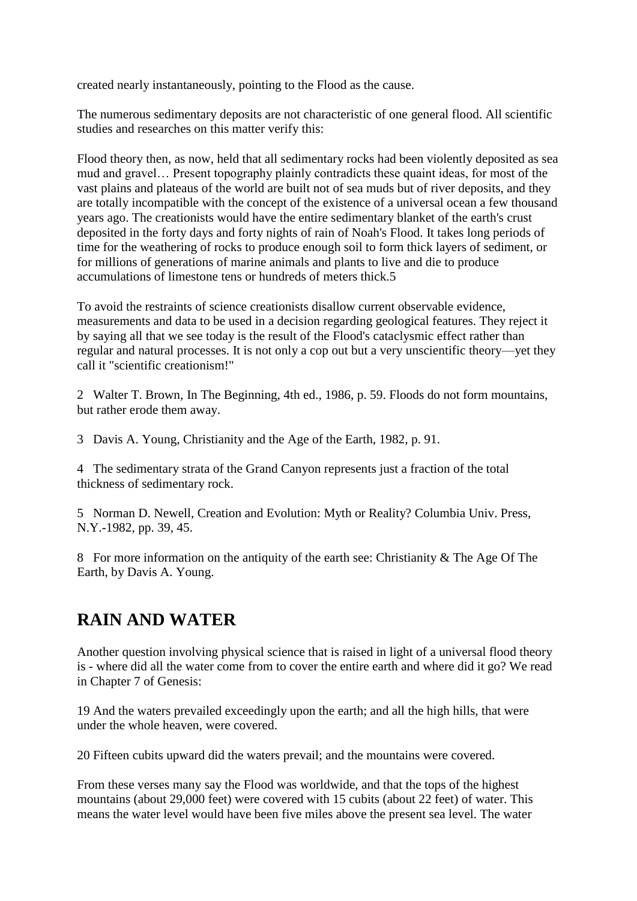created nearly instantaneously, pointing to the Flood as the cause.

The numerous sedimentary deposits are not characteristic of one general flood. All scientific studies and researches on this matter verify this:

Flood theory then, as now, held that all sedimentary rocks had been violently deposited as sea mud and gravel… Present topography plainly contradicts these quaint ideas, for most of the vast plains and plateaus of the world are built not of sea muds but of river deposits, and they are totally incompatible with the concept of the existence of a universal ocean a few thousand years ago. The creationists would have the entire sedimentary blanket of the earth's crust deposited in the forty days and forty nights of rain of Noah's Flood. It takes long periods of time for the weathering of rocks to produce enough soil to form thick layers of sediment, or for millions of generations of marine animals and plants to live and die to produce accumulations of limestone tens or hundreds of meters thick.5

To avoid the restraints of science creationists disallow current observable evidence, measurements and data to be used in a decision regarding geological features. They reject it by saying all that we see today is the result of the Flood's cataclysmic effect rather than regular and natural processes. It is not only a cop out but a very unscientific theory—yet they call it "scientific creationism!"

2 Walter T. Brown, In The Beginning, 4th ed., 1986, p. 59. Floods do not form mountains, but rather erode them away.

3 Davis A. Young, Christianity and the Age of the Earth, 1982, p. 91.

4 The sedimentary strata of the Grand Canyon represents just a fraction of the total thickness of sedimentary rock.

5 Norman D. Newell, Creation and Evolution: Myth or Reality? Columbia Univ. Press, N.Y.-1982, pp. 39, 45.

8 For more information on the antiquity of the earth see: Christianity & The Age Of The Earth, by Davis A. Young.

## **RAIN AND WATER**

Another question involving physical science that is raised in light of a universal flood theory is - where did all the water come from to cover the entire earth and where did it go? We read in Chapter 7 of Genesis:

19 And the waters prevailed exceedingly upon the earth; and all the high hills, that were under the whole heaven, were covered.

20 Fifteen cubits upward did the waters prevail; and the mountains were covered.

From these verses many say the Flood was worldwide, and that the tops of the highest mountains (about 29,000 feet) were covered with 15 cubits (about 22 feet) of water. This means the water level would have been five miles above the present sea level. The water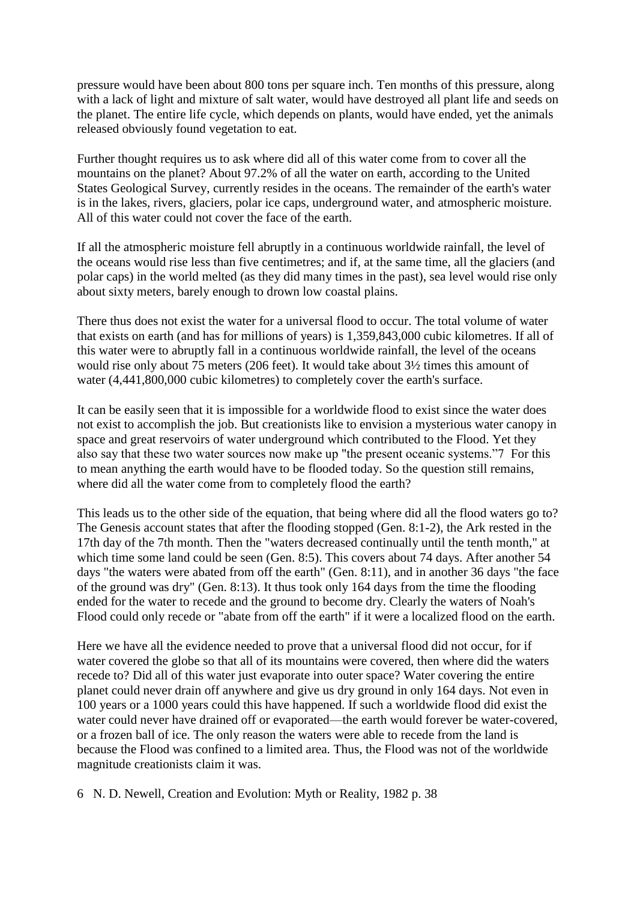pressure would have been about 800 tons per square inch. Ten months of this pressure, along with a lack of light and mixture of salt water, would have destroyed all plant life and seeds on the planet. The entire life cycle, which depends on plants, would have ended, yet the animals released obviously found vegetation to eat.

Further thought requires us to ask where did all of this water come from to cover all the mountains on the planet? About 97.2% of all the water on earth, according to the United States Geological Survey, currently resides in the oceans. The remainder of the earth's water is in the lakes, rivers, glaciers, polar ice caps, underground water, and atmospheric moisture. All of this water could not cover the face of the earth.

If all the atmospheric moisture fell abruptly in a continuous worldwide rainfall, the level of the oceans would rise less than five centimetres; and if, at the same time, all the glaciers (and polar caps) in the world melted (as they did many times in the past), sea level would rise only about sixty meters, barely enough to drown low coastal plains.

There thus does not exist the water for a universal flood to occur. The total volume of water that exists on earth (and has for millions of years) is 1,359,843,000 cubic kilometres. If all of this water were to abruptly fall in a continuous worldwide rainfall, the level of the oceans would rise only about 75 meters (206 feet). It would take about 3½ times this amount of water (4,441,800,000 cubic kilometres) to completely cover the earth's surface.

It can be easily seen that it is impossible for a worldwide flood to exist since the water does not exist to accomplish the job. But creationists like to envision a mysterious water canopy in space and great reservoirs of water underground which contributed to the Flood. Yet they also say that these two water sources now make up "the present oceanic systems."7 For this to mean anything the earth would have to be flooded today. So the question still remains, where did all the water come from to completely flood the earth?

This leads us to the other side of the equation, that being where did all the flood waters go to? The Genesis account states that after the flooding stopped (Gen. 8:1-2), the Ark rested in the 17th day of the 7th month. Then the "waters decreased continually until the tenth month," at which time some land could be seen (Gen. 8:5). This covers about 74 days. After another 54 days "the waters were abated from off the earth" (Gen. 8:11), and in another 36 days "the face of the ground was dry" (Gen. 8:13). It thus took only 164 days from the time the flooding ended for the water to recede and the ground to become dry. Clearly the waters of Noah's Flood could only recede or "abate from off the earth" if it were a localized flood on the earth.

Here we have all the evidence needed to prove that a universal flood did not occur, for if water covered the globe so that all of its mountains were covered, then where did the waters recede to? Did all of this water just evaporate into outer space? Water covering the entire planet could never drain off anywhere and give us dry ground in only 164 days. Not even in 100 years or a 1000 years could this have happened. If such a worldwide flood did exist the water could never have drained off or evaporated—the earth would forever be water-covered, or a frozen ball of ice. The only reason the waters were able to recede from the land is because the Flood was confined to a limited area. Thus, the Flood was not of the worldwide magnitude creationists claim it was.

6 N. D. Newell, Creation and Evolution: Myth or Reality, 1982 p. 38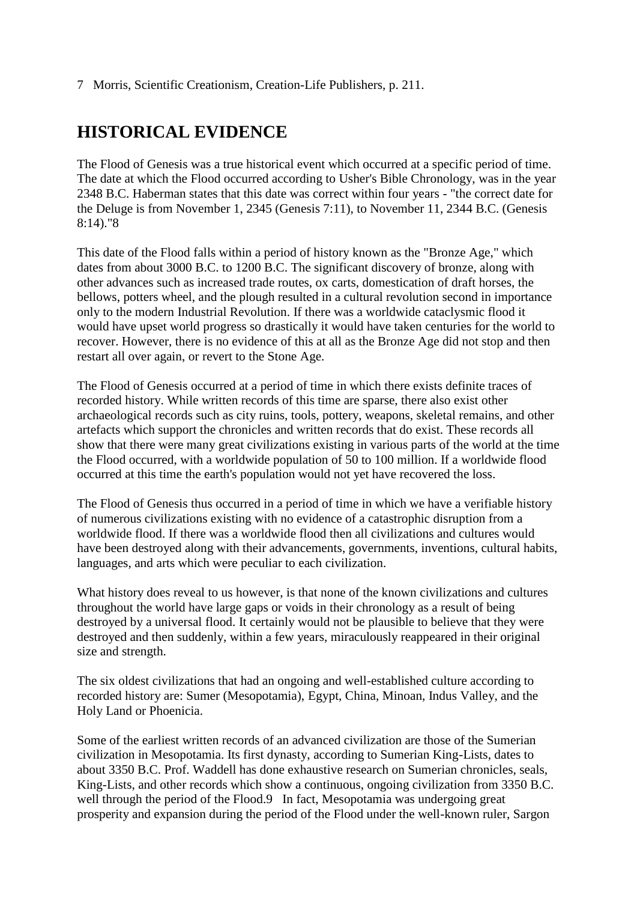#### 7 Morris, Scientific Creationism, Creation-Life Publishers, p. 211.

## **HISTORICAL EVIDENCE**

The Flood of Genesis was a true historical event which occurred at a specific period of time. The date at which the Flood occurred according to Usher's Bible Chronology, was in the year 2348 B.C. Haberman states that this date was correct within four years - "the correct date for the Deluge is from November 1, 2345 (Genesis 7:11), to November 11, 2344 B.C. (Genesis 8:14)."8

This date of the Flood falls within a period of history known as the "Bronze Age," which dates from about 3000 B.C. to 1200 B.C. The significant discovery of bronze, along with other advances such as increased trade routes, ox carts, domestication of draft horses, the bellows, potters wheel, and the plough resulted in a cultural revolution second in importance only to the modern Industrial Revolution. If there was a worldwide cataclysmic flood it would have upset world progress so drastically it would have taken centuries for the world to recover. However, there is no evidence of this at all as the Bronze Age did not stop and then restart all over again, or revert to the Stone Age.

The Flood of Genesis occurred at a period of time in which there exists definite traces of recorded history. While written records of this time are sparse, there also exist other archaeological records such as city ruins, tools, pottery, weapons, skeletal remains, and other artefacts which support the chronicles and written records that do exist. These records all show that there were many great civilizations existing in various parts of the world at the time the Flood occurred, with a worldwide population of 50 to 100 million. If a worldwide flood occurred at this time the earth's population would not yet have recovered the loss.

The Flood of Genesis thus occurred in a period of time in which we have a verifiable history of numerous civilizations existing with no evidence of a catastrophic disruption from a worldwide flood. If there was a worldwide flood then all civilizations and cultures would have been destroyed along with their advancements, governments, inventions, cultural habits, languages, and arts which were peculiar to each civilization.

What history does reveal to us however, is that none of the known civilizations and cultures throughout the world have large gaps or voids in their chronology as a result of being destroyed by a universal flood. It certainly would not be plausible to believe that they were destroyed and then suddenly, within a few years, miraculously reappeared in their original size and strength.

The six oldest civilizations that had an ongoing and well-established culture according to recorded history are: Sumer (Mesopotamia), Egypt, China, Minoan, Indus Valley, and the Holy Land or Phoenicia.

Some of the earliest written records of an advanced civilization are those of the Sumerian civilization in Mesopotamia. Its first dynasty, according to Sumerian King-Lists, dates to about 3350 B.C. Prof. Waddell has done exhaustive research on Sumerian chronicles, seals, King-Lists, and other records which show a continuous, ongoing civilization from 3350 B.C. well through the period of the Flood.9 In fact, Mesopotamia was undergoing great prosperity and expansion during the period of the Flood under the well-known ruler, Sargon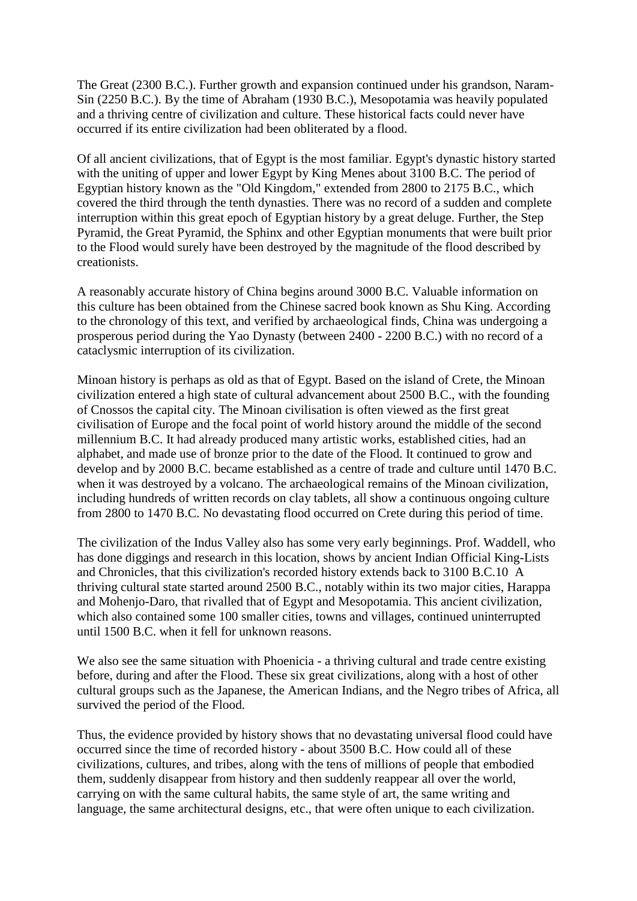The Great (2300 B.C.). Further growth and expansion continued under his grandson, Naram-Sin (2250 B.C.). By the time of Abraham (1930 B.C.), Mesopotamia was heavily populated and a thriving centre of civilization and culture. These historical facts could never have occurred if its entire civilization had been obliterated by a flood.

Of all ancient civilizations, that of Egypt is the most familiar. Egypt's dynastic history started with the uniting of upper and lower Egypt by King Menes about 3100 B.C. The period of Egyptian history known as the "Old Kingdom," extended from 2800 to 2175 B.C., which covered the third through the tenth dynasties. There was no record of a sudden and complete interruption within this great epoch of Egyptian history by a great deluge. Further, the Step Pyramid, the Great Pyramid, the Sphinx and other Egyptian monuments that were built prior to the Flood would surely have been destroyed by the magnitude of the flood described by creationists.

A reasonably accurate history of China begins around 3000 B.C. Valuable information on this culture has been obtained from the Chinese sacred book known as Shu King. According to the chronology of this text, and verified by archaeological finds, China was undergoing a prosperous period during the Yao Dynasty (between 2400 - 2200 B.C.) with no record of a cataclysmic interruption of its civilization.

Minoan history is perhaps as old as that of Egypt. Based on the island of Crete, the Minoan civilization entered a high state of cultural advancement about 2500 B.C., with the founding of Cnossos the capital city. The Minoan civilisation is often viewed as the first great civilisation of Europe and the focal point of world history around the middle of the second millennium B.C. It had already produced many artistic works, established cities, had an alphabet, and made use of bronze prior to the date of the Flood. It continued to grow and develop and by 2000 B.C. became established as a centre of trade and culture until 1470 B.C. when it was destroyed by a volcano. The archaeological remains of the Minoan civilization, including hundreds of written records on clay tablets, all show a continuous ongoing culture from 2800 to 1470 B.C. No devastating flood occurred on Crete during this period of time.

The civilization of the Indus Valley also has some very early beginnings. Prof. Waddell, who has done diggings and research in this location, shows by ancient Indian Official King-Lists and Chronicles, that this civilization's recorded history extends back to 3100 B.C.10 A thriving cultural state started around 2500 B.C., notably within its two major cities, Harappa and Mohenjo-Daro, that rivalled that of Egypt and Mesopotamia. This ancient civilization, which also contained some 100 smaller cities, towns and villages, continued uninterrupted until 1500 B.C. when it fell for unknown reasons.

We also see the same situation with Phoenicia - a thriving cultural and trade centre existing before, during and after the Flood. These six great civilizations, along with a host of other cultural groups such as the Japanese, the American Indians, and the Negro tribes of Africa, all survived the period of the Flood.

Thus, the evidence provided by history shows that no devastating universal flood could have occurred since the time of recorded history - about 3500 B.C. How could all of these civilizations, cultures, and tribes, along with the tens of millions of people that embodied them, suddenly disappear from history and then suddenly reappear all over the world, carrying on with the same cultural habits, the same style of art, the same writing and language, the same architectural designs, etc., that were often unique to each civilization.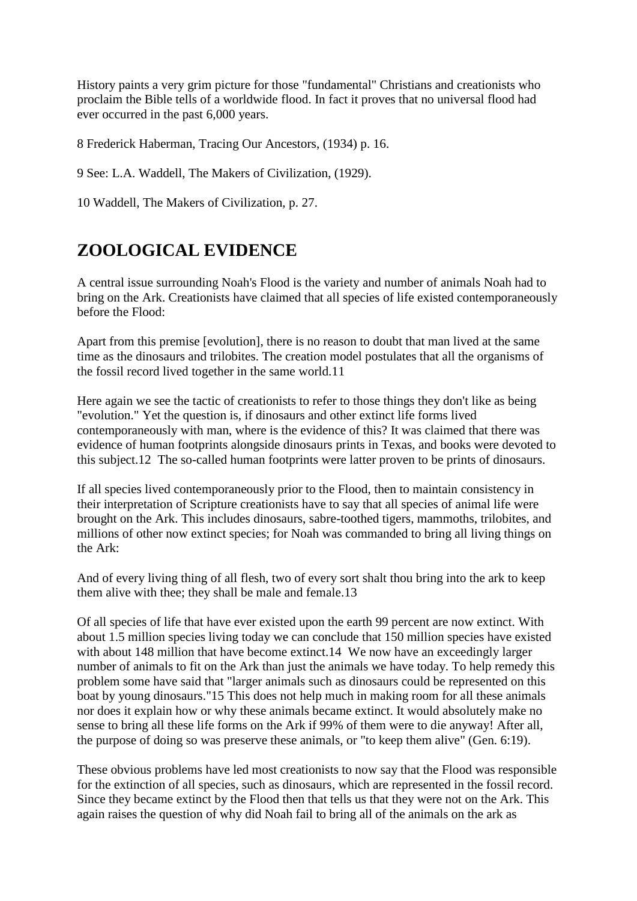History paints a very grim picture for those "fundamental" Christians and creationists who proclaim the Bible tells of a worldwide flood. In fact it proves that no universal flood had ever occurred in the past 6,000 years.

8 Frederick Haberman, Tracing Our Ancestors, (1934) p. 16.

9 See: L.A. Waddell, The Makers of Civilization, (1929).

10 Waddell, The Makers of Civilization, p. 27.

## **ZOOLOGICAL EVIDENCE**

A central issue surrounding Noah's Flood is the variety and number of animals Noah had to bring on the Ark. Creationists have claimed that all species of life existed contemporaneously before the Flood:

Apart from this premise [evolution], there is no reason to doubt that man lived at the same time as the dinosaurs and trilobites. The creation model postulates that all the organisms of the fossil record lived together in the same world.11

Here again we see the tactic of creationists to refer to those things they don't like as being "evolution." Yet the question is, if dinosaurs and other extinct life forms lived contemporaneously with man, where is the evidence of this? It was claimed that there was evidence of human footprints alongside dinosaurs prints in Texas, and books were devoted to this subject.12 The so-called human footprints were latter proven to be prints of dinosaurs.

If all species lived contemporaneously prior to the Flood, then to maintain consistency in their interpretation of Scripture creationists have to say that all species of animal life were brought on the Ark. This includes dinosaurs, sabre-toothed tigers, mammoths, trilobites, and millions of other now extinct species; for Noah was commanded to bring all living things on the Ark:

And of every living thing of all flesh, two of every sort shalt thou bring into the ark to keep them alive with thee; they shall be male and female.13

Of all species of life that have ever existed upon the earth 99 percent are now extinct. With about 1.5 million species living today we can conclude that 150 million species have existed with about 148 million that have become extinct.14 We now have an exceedingly larger number of animals to fit on the Ark than just the animals we have today. To help remedy this problem some have said that "larger animals such as dinosaurs could be represented on this boat by young dinosaurs."15 This does not help much in making room for all these animals nor does it explain how or why these animals became extinct. It would absolutely make no sense to bring all these life forms on the Ark if 99% of them were to die anyway! After all, the purpose of doing so was preserve these animals, or "to keep them alive" (Gen. 6:19).

These obvious problems have led most creationists to now say that the Flood was responsible for the extinction of all species, such as dinosaurs, which are represented in the fossil record. Since they became extinct by the Flood then that tells us that they were not on the Ark. This again raises the question of why did Noah fail to bring all of the animals on the ark as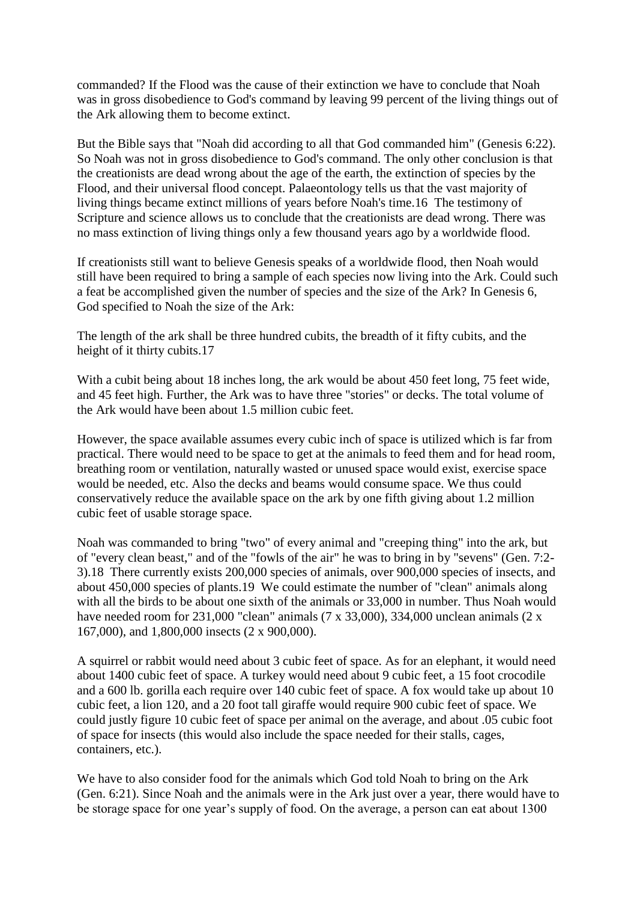commanded? If the Flood was the cause of their extinction we have to conclude that Noah was in gross disobedience to God's command by leaving 99 percent of the living things out of the Ark allowing them to become extinct.

But the Bible says that "Noah did according to all that God commanded him" (Genesis 6:22). So Noah was not in gross disobedience to God's command. The only other conclusion is that the creationists are dead wrong about the age of the earth, the extinction of species by the Flood, and their universal flood concept. Palaeontology tells us that the vast majority of living things became extinct millions of years before Noah's time.16 The testimony of Scripture and science allows us to conclude that the creationists are dead wrong. There was no mass extinction of living things only a few thousand years ago by a worldwide flood.

If creationists still want to believe Genesis speaks of a worldwide flood, then Noah would still have been required to bring a sample of each species now living into the Ark. Could such a feat be accomplished given the number of species and the size of the Ark? In Genesis 6, God specified to Noah the size of the Ark:

The length of the ark shall be three hundred cubits, the breadth of it fifty cubits, and the height of it thirty cubits.17

With a cubit being about 18 inches long, the ark would be about 450 feet long, 75 feet wide, and 45 feet high. Further, the Ark was to have three "stories" or decks. The total volume of the Ark would have been about 1.5 million cubic feet.

However, the space available assumes every cubic inch of space is utilized which is far from practical. There would need to be space to get at the animals to feed them and for head room, breathing room or ventilation, naturally wasted or unused space would exist, exercise space would be needed, etc. Also the decks and beams would consume space. We thus could conservatively reduce the available space on the ark by one fifth giving about 1.2 million cubic feet of usable storage space.

Noah was commanded to bring "two" of every animal and "creeping thing" into the ark, but of "every clean beast," and of the "fowls of the air" he was to bring in by "sevens" (Gen. 7:2- 3).18 There currently exists 200,000 species of animals, over 900,000 species of insects, and about 450,000 species of plants.19 We could estimate the number of "clean" animals along with all the birds to be about one sixth of the animals or  $33,000$  in number. Thus Noah would have needed room for 231,000 "clean" animals (7 x 33,000), 334,000 unclean animals (2 x 167,000), and 1,800,000 insects (2 x 900,000).

A squirrel or rabbit would need about 3 cubic feet of space. As for an elephant, it would need about 1400 cubic feet of space. A turkey would need about 9 cubic feet, a 15 foot crocodile and a 600 lb. gorilla each require over 140 cubic feet of space. A fox would take up about 10 cubic feet, a lion 120, and a 20 foot tall giraffe would require 900 cubic feet of space. We could justly figure 10 cubic feet of space per animal on the average, and about .05 cubic foot of space for insects (this would also include the space needed for their stalls, cages, containers, etc.).

We have to also consider food for the animals which God told Noah to bring on the Ark (Gen. 6:21). Since Noah and the animals were in the Ark just over a year, there would have to be storage space for one year's supply of food. On the average, a person can eat about 1300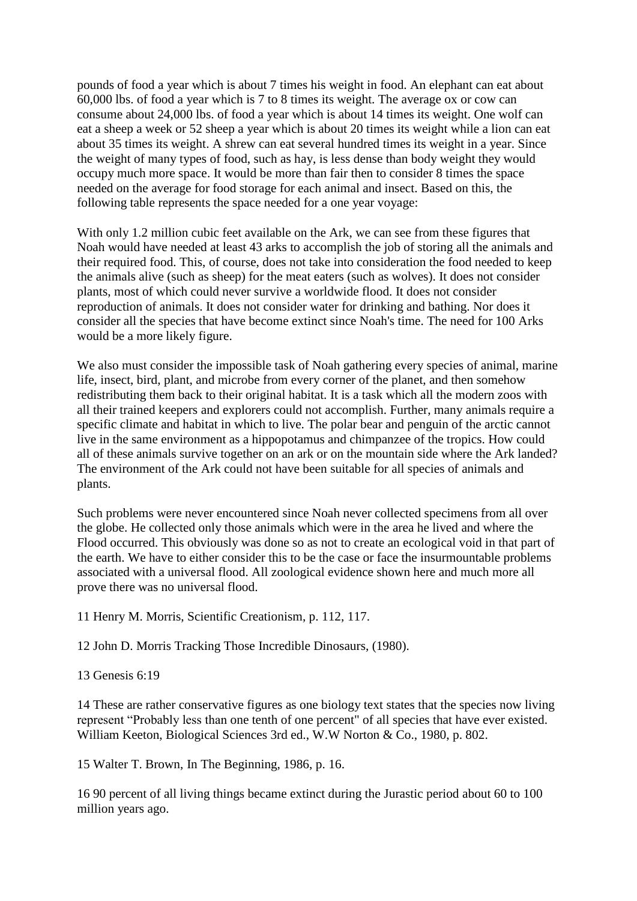pounds of food a year which is about 7 times his weight in food. An elephant can eat about 60,000 lbs. of food a year which is 7 to 8 times its weight. The average ox or cow can consume about 24,000 lbs. of food a year which is about 14 times its weight. One wolf can eat a sheep a week or 52 sheep a year which is about 20 times its weight while a lion can eat about 35 times its weight. A shrew can eat several hundred times its weight in a year. Since the weight of many types of food, such as hay, is less dense than body weight they would occupy much more space. It would be more than fair then to consider 8 times the space needed on the average for food storage for each animal and insect. Based on this, the following table represents the space needed for a one year voyage:

With only 1.2 million cubic feet available on the Ark, we can see from these figures that Noah would have needed at least 43 arks to accomplish the job of storing all the animals and their required food. This, of course, does not take into consideration the food needed to keep the animals alive (such as sheep) for the meat eaters (such as wolves). It does not consider plants, most of which could never survive a worldwide flood. It does not consider reproduction of animals. It does not consider water for drinking and bathing. Nor does it consider all the species that have become extinct since Noah's time. The need for 100 Arks would be a more likely figure.

We also must consider the impossible task of Noah gathering every species of animal, marine life, insect, bird, plant, and microbe from every corner of the planet, and then somehow redistributing them back to their original habitat. It is a task which all the modern zoos with all their trained keepers and explorers could not accomplish. Further, many animals require a specific climate and habitat in which to live. The polar bear and penguin of the arctic cannot live in the same environment as a hippopotamus and chimpanzee of the tropics. How could all of these animals survive together on an ark or on the mountain side where the Ark landed? The environment of the Ark could not have been suitable for all species of animals and plants.

Such problems were never encountered since Noah never collected specimens from all over the globe. He collected only those animals which were in the area he lived and where the Flood occurred. This obviously was done so as not to create an ecological void in that part of the earth. We have to either consider this to be the case or face the insurmountable problems associated with a universal flood. All zoological evidence shown here and much more all prove there was no universal flood.

11 Henry M. Morris, Scientific Creationism, p. 112, 117.

12 John D. Morris Tracking Those Incredible Dinosaurs, (1980).

13 Genesis 6:19

14 These are rather conservative figures as one biology text states that the species now living represent "Probably less than one tenth of one percent" of all species that have ever existed. William Keeton, Biological Sciences 3rd ed., W.W Norton & Co., 1980, p. 802.

15 Walter T. Brown, In The Beginning, 1986, p. 16.

16 90 percent of all living things became extinct during the Jurastic period about 60 to 100 million years ago.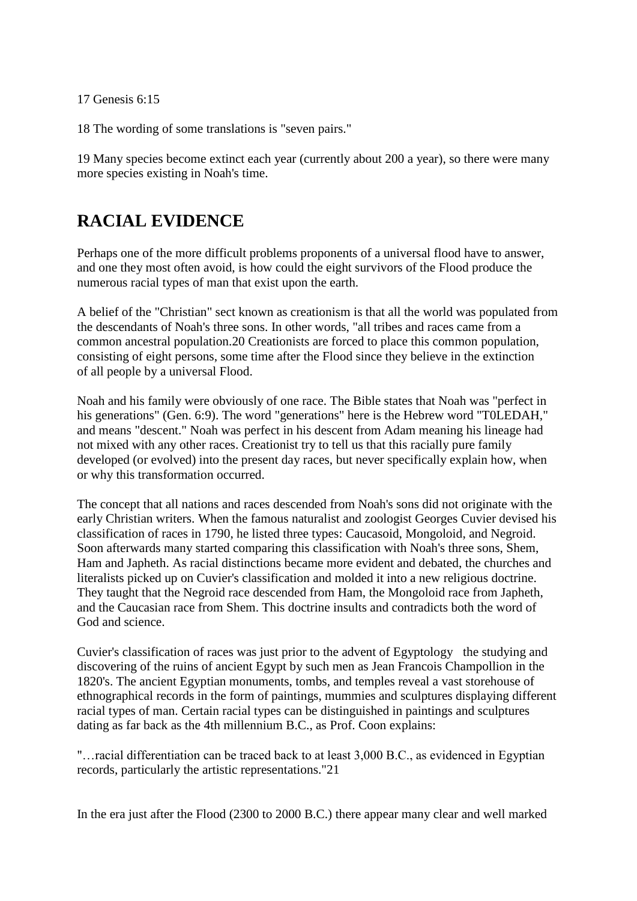17 Genesis 6:15

18 The wording of some translations is "seven pairs."

19 Many species become extinct each year (currently about 200 a year), so there were many more species existing in Noah's time.

## **RACIAL EVIDENCE**

Perhaps one of the more difficult problems proponents of a universal flood have to answer, and one they most often avoid, is how could the eight survivors of the Flood produce the numerous racial types of man that exist upon the earth.

A belief of the "Christian" sect known as creationism is that all the world was populated from the descendants of Noah's three sons. In other words, "all tribes and races came from a common ancestral population.20 Creationists are forced to place this common population, consisting of eight persons, some time after the Flood since they believe in the extinction of all people by a universal Flood.

Noah and his family were obviously of one race. The Bible states that Noah was "perfect in his generations" (Gen. 6:9). The word "generations" here is the Hebrew word "T0LEDAH," and means "descent." Noah was perfect in his descent from Adam meaning his lineage had not mixed with any other races. Creationist try to tell us that this racially pure family developed (or evolved) into the present day races, but never specifically explain how, when or why this transformation occurred.

The concept that all nations and races descended from Noah's sons did not originate with the early Christian writers. When the famous naturalist and zoologist Georges Cuvier devised his classification of races in 1790, he listed three types: Caucasoid, Mongoloid, and Negroid. Soon afterwards many started comparing this classification with Noah's three sons, Shem, Ham and Japheth. As racial distinctions became more evident and debated, the churches and literalists picked up on Cuvier's classification and molded it into a new religious doctrine. They taught that the Negroid race descended from Ham, the Mongoloid race from Japheth, and the Caucasian race from Shem. This doctrine insults and contradicts both the word of God and science.

Cuvier's classification of races was just prior to the advent of Egyptology the studying and discovering of the ruins of ancient Egypt by such men as Jean Francois Champollion in the 1820's. The ancient Egyptian monuments, tombs, and temples reveal a vast storehouse of ethnographical records in the form of paintings, mummies and sculptures displaying different racial types of man. Certain racial types can be distinguished in paintings and sculptures dating as far back as the 4th millennium B.C., as Prof. Coon explains:

"…racial differentiation can be traced back to at least 3,000 B.C., as evidenced in Egyptian records, particularly the artistic representations."21

In the era just after the Flood (2300 to 2000 B.C.) there appear many clear and well marked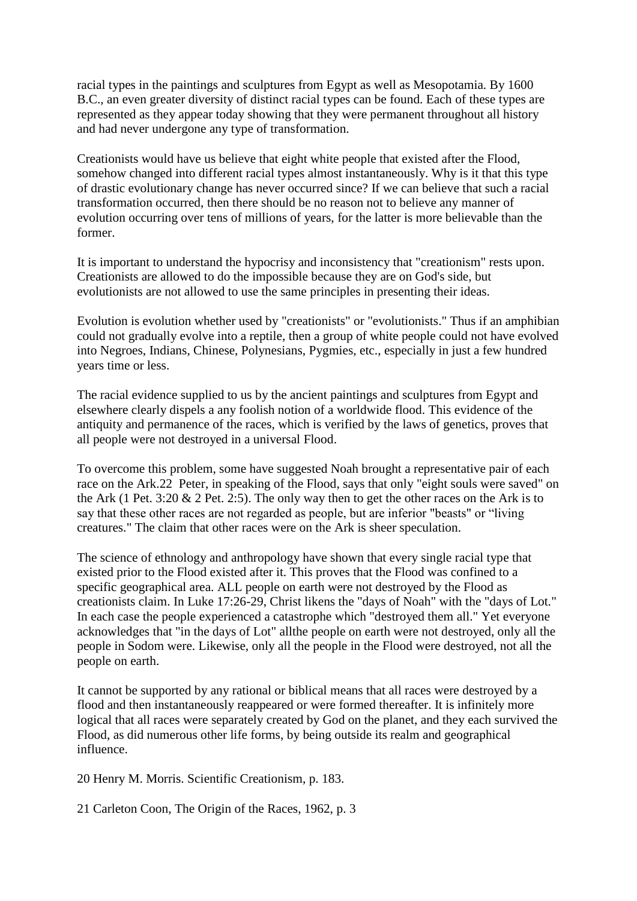racial types in the paintings and sculptures from Egypt as well as Mesopotamia. By 1600 B.C., an even greater diversity of distinct racial types can be found. Each of these types are represented as they appear today showing that they were permanent throughout all history and had never undergone any type of transformation.

Creationists would have us believe that eight white people that existed after the Flood, somehow changed into different racial types almost instantaneously. Why is it that this type of drastic evolutionary change has never occurred since? If we can believe that such a racial transformation occurred, then there should be no reason not to believe any manner of evolution occurring over tens of millions of years, for the latter is more believable than the former.

It is important to understand the hypocrisy and inconsistency that "creationism" rests upon. Creationists are allowed to do the impossible because they are on God's side, but evolutionists are not allowed to use the same principles in presenting their ideas.

Evolution is evolution whether used by "creationists" or "evolutionists." Thus if an amphibian could not gradually evolve into a reptile, then a group of white people could not have evolved into Negroes, Indians, Chinese, Polynesians, Pygmies, etc., especially in just a few hundred years time or less.

The racial evidence supplied to us by the ancient paintings and sculptures from Egypt and elsewhere clearly dispels a any foolish notion of a worldwide flood. This evidence of the antiquity and permanence of the races, which is verified by the laws of genetics, proves that all people were not destroyed in a universal Flood.

To overcome this problem, some have suggested Noah brought a representative pair of each race on the Ark.22 Peter, in speaking of the Flood, says that only "eight souls were saved" on the Ark (1 Pet. 3:20  $\&$  2 Pet. 2:5). The only way then to get the other races on the Ark is to say that these other races are not regarded as people, but are inferior "beasts" or "living creatures." The claim that other races were on the Ark is sheer speculation.

The science of ethnology and anthropology have shown that every single racial type that existed prior to the Flood existed after it. This proves that the Flood was confined to a specific geographical area. ALL people on earth were not destroyed by the Flood as creationists claim. In Luke 17:26-29, Christ likens the "days of Noah" with the "days of Lot." In each case the people experienced a catastrophe which "destroyed them all." Yet everyone acknowledges that "in the days of Lot" allthe people on earth were not destroyed, only all the people in Sodom were. Likewise, only all the people in the Flood were destroyed, not all the people on earth.

It cannot be supported by any rational or biblical means that all races were destroyed by a flood and then instantaneously reappeared or were formed thereafter. It is infinitely more logical that all races were separately created by God on the planet, and they each survived the Flood, as did numerous other life forms, by being outside its realm and geographical influence.

20 Henry M. Morris. Scientific Creationism, p. 183.

21 Carleton Coon, The Origin of the Races, 1962, p. 3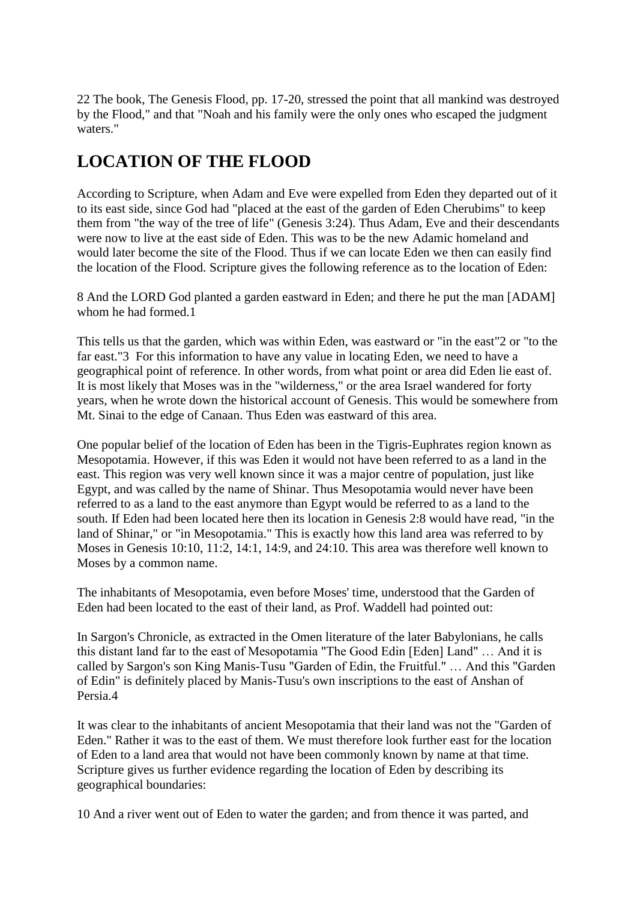22 The book, The Genesis Flood, pp. 17-20, stressed the point that all mankind was destroyed by the Flood," and that "Noah and his family were the only ones who escaped the judgment waters."

## **LOCATION OF THE FLOOD**

According to Scripture, when Adam and Eve were expelled from Eden they departed out of it to its east side, since God had "placed at the east of the garden of Eden Cherubims" to keep them from "the way of the tree of life" (Genesis 3:24). Thus Adam, Eve and their descendants were now to live at the east side of Eden. This was to be the new Adamic homeland and would later become the site of the Flood. Thus if we can locate Eden we then can easily find the location of the Flood. Scripture gives the following reference as to the location of Eden:

8 And the LORD God planted a garden eastward in Eden; and there he put the man [ADAM] whom he had formed.1

This tells us that the garden, which was within Eden, was eastward or "in the east"2 or "to the far east."3 For this information to have any value in locating Eden, we need to have a geographical point of reference. In other words, from what point or area did Eden lie east of. It is most likely that Moses was in the "wilderness," or the area Israel wandered for forty years, when he wrote down the historical account of Genesis. This would be somewhere from Mt. Sinai to the edge of Canaan. Thus Eden was eastward of this area.

One popular belief of the location of Eden has been in the Tigris-Euphrates region known as Mesopotamia. However, if this was Eden it would not have been referred to as a land in the east. This region was very well known since it was a major centre of population, just like Egypt, and was called by the name of Shinar. Thus Mesopotamia would never have been referred to as a land to the east anymore than Egypt would be referred to as a land to the south. If Eden had been located here then its location in Genesis 2:8 would have read, "in the land of Shinar," or "in Mesopotamia." This is exactly how this land area was referred to by Moses in Genesis 10:10, 11:2, 14:1, 14:9, and 24:10. This area was therefore well known to Moses by a common name.

The inhabitants of Mesopotamia, even before Moses' time, understood that the Garden of Eden had been located to the east of their land, as Prof. Waddell had pointed out:

In Sargon's Chronicle, as extracted in the Omen literature of the later Babylonians, he calls this distant land far to the east of Mesopotamia "The Good Edin [Eden] Land" … And it is called by Sargon's son King Manis-Tusu "Garden of Edin, the Fruitful." … And this "Garden of Edin" is definitely placed by Manis-Tusu's own inscriptions to the east of Anshan of Persia.4

It was clear to the inhabitants of ancient Mesopotamia that their land was not the "Garden of Eden." Rather it was to the east of them. We must therefore look further east for the location of Eden to a land area that would not have been commonly known by name at that time. Scripture gives us further evidence regarding the location of Eden by describing its geographical boundaries:

10 And a river went out of Eden to water the garden; and from thence it was parted, and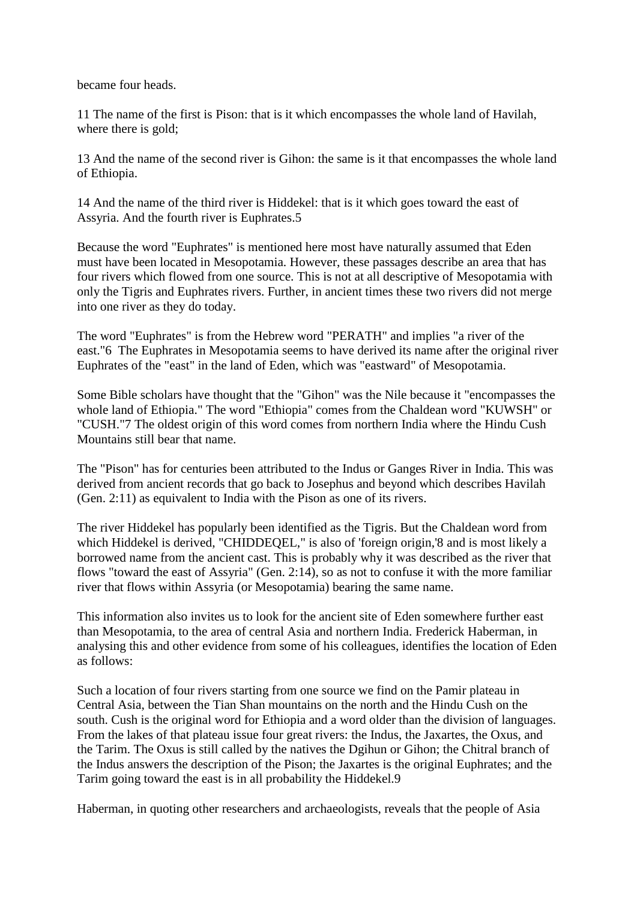became four heads.

11 The name of the first is Pison: that is it which encompasses the whole land of Havilah, where there is gold;

13 And the name of the second river is Gihon: the same is it that encompasses the whole land of Ethiopia.

14 And the name of the third river is Hiddekel: that is it which goes toward the east of Assyria. And the fourth river is Euphrates.5

Because the word "Euphrates" is mentioned here most have naturally assumed that Eden must have been located in Mesopotamia. However, these passages describe an area that has four rivers which flowed from one source. This is not at all descriptive of Mesopotamia with only the Tigris and Euphrates rivers. Further, in ancient times these two rivers did not merge into one river as they do today.

The word "Euphrates" is from the Hebrew word "PERATH" and implies "a river of the east."6 The Euphrates in Mesopotamia seems to have derived its name after the original river Euphrates of the "east" in the land of Eden, which was "eastward" of Mesopotamia.

Some Bible scholars have thought that the "Gihon" was the Nile because it "encompasses the whole land of Ethiopia." The word "Ethiopia" comes from the Chaldean word "KUWSH" or "CUSH."7 The oldest origin of this word comes from northern India where the Hindu Cush Mountains still bear that name.

The "Pison" has for centuries been attributed to the Indus or Ganges River in India. This was derived from ancient records that go back to Josephus and beyond which describes Havilah (Gen. 2:11) as equivalent to India with the Pison as one of its rivers.

The river Hiddekel has popularly been identified as the Tigris. But the Chaldean word from which Hiddekel is derived, "CHIDDEQEL," is also of 'foreign origin,'8 and is most likely a borrowed name from the ancient cast. This is probably why it was described as the river that flows "toward the east of Assyria" (Gen. 2:14), so as not to confuse it with the more familiar river that flows within Assyria (or Mesopotamia) bearing the same name.

This information also invites us to look for the ancient site of Eden somewhere further east than Mesopotamia, to the area of central Asia and northern India. Frederick Haberman, in analysing this and other evidence from some of his colleagues, identifies the location of Eden as follows:

Such a location of four rivers starting from one source we find on the Pamir plateau in Central Asia, between the Tian Shan mountains on the north and the Hindu Cush on the south. Cush is the original word for Ethiopia and a word older than the division of languages. From the lakes of that plateau issue four great rivers: the Indus, the Jaxartes, the Oxus, and the Tarim. The Oxus is still called by the natives the Dgihun or Gihon; the Chitral branch of the Indus answers the description of the Pison; the Jaxartes is the original Euphrates; and the Tarim going toward the east is in all probability the Hiddekel.9

Haberman, in quoting other researchers and archaeologists, reveals that the people of Asia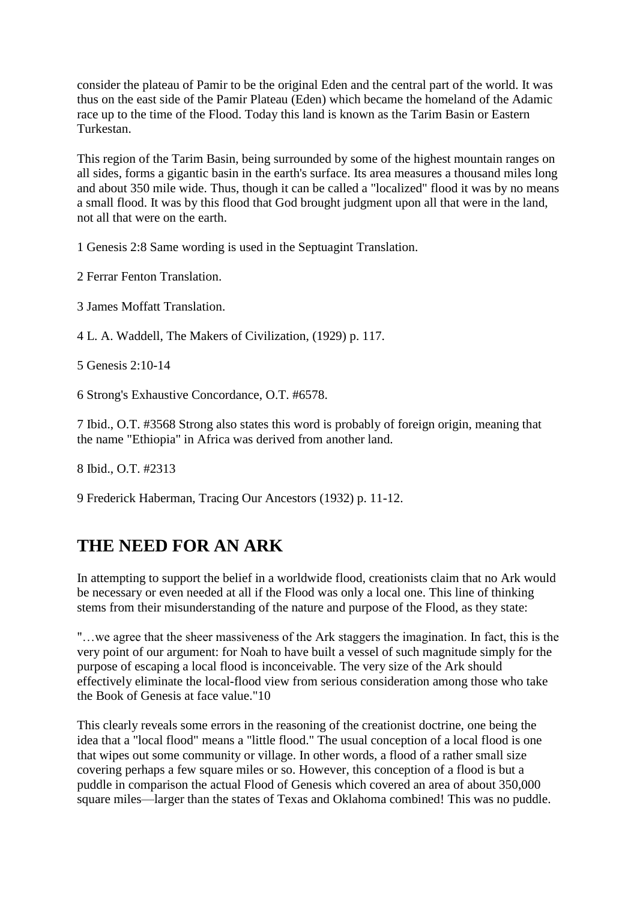consider the plateau of Pamir to be the original Eden and the central part of the world. It was thus on the east side of the Pamir Plateau (Eden) which became the homeland of the Adamic race up to the time of the Flood. Today this land is known as the Tarim Basin or Eastern Turkestan.

This region of the Tarim Basin, being surrounded by some of the highest mountain ranges on all sides, forms a gigantic basin in the earth's surface. Its area measures a thousand miles long and about 350 mile wide. Thus, though it can be called a "localized" flood it was by no means a small flood. It was by this flood that God brought judgment upon all that were in the land, not all that were on the earth.

1 Genesis 2:8 Same wording is used in the Septuagint Translation.

2 Ferrar Fenton Translation.

3 James Moffatt Translation.

4 L. A. Waddell, The Makers of Civilization, (1929) p. 117.

5 Genesis 2:10-14

6 Strong's Exhaustive Concordance, O.T. #6578.

7 Ibid., O.T. #3568 Strong also states this word is probably of foreign origin, meaning that the name "Ethiopia" in Africa was derived from another land.

8 Ibid., O.T. #2313

9 Frederick Haberman, Tracing Our Ancestors (1932) p. 11-12.

### **THE NEED FOR AN ARK**

In attempting to support the belief in a worldwide flood, creationists claim that no Ark would be necessary or even needed at all if the Flood was only a local one. This line of thinking stems from their misunderstanding of the nature and purpose of the Flood, as they state:

"…we agree that the sheer massiveness of the Ark staggers the imagination. In fact, this is the very point of our argument: for Noah to have built a vessel of such magnitude simply for the purpose of escaping a local flood is inconceivable. The very size of the Ark should effectively eliminate the local-flood view from serious consideration among those who take the Book of Genesis at face value."10

This clearly reveals some errors in the reasoning of the creationist doctrine, one being the idea that a "local flood" means a "little flood." The usual conception of a local flood is one that wipes out some community or village. In other words, a flood of a rather small size covering perhaps a few square miles or so. However, this conception of a flood is but a puddle in comparison the actual Flood of Genesis which covered an area of about 350,000 square miles—larger than the states of Texas and Oklahoma combined! This was no puddle.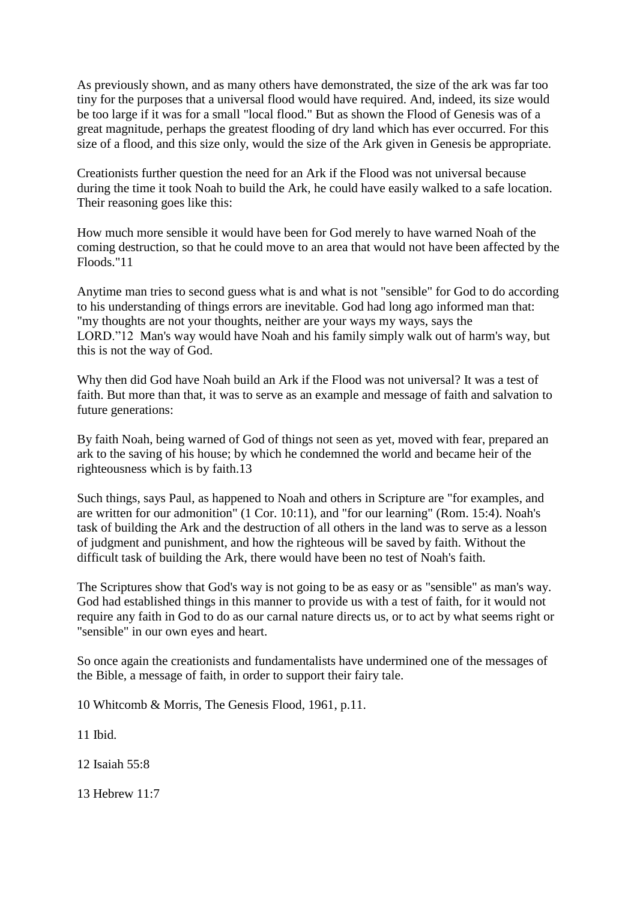As previously shown, and as many others have demonstrated, the size of the ark was far too tiny for the purposes that a universal flood would have required. And, indeed, its size would be too large if it was for a small "local flood." But as shown the Flood of Genesis was of a great magnitude, perhaps the greatest flooding of dry land which has ever occurred. For this size of a flood, and this size only, would the size of the Ark given in Genesis be appropriate.

Creationists further question the need for an Ark if the Flood was not universal because during the time it took Noah to build the Ark, he could have easily walked to a safe location. Their reasoning goes like this:

How much more sensible it would have been for God merely to have warned Noah of the coming destruction, so that he could move to an area that would not have been affected by the Floods."11

Anytime man tries to second guess what is and what is not "sensible" for God to do according to his understanding of things errors are inevitable. God had long ago informed man that: "my thoughts are not your thoughts, neither are your ways my ways, says the LORD."12 Man's way would have Noah and his family simply walk out of harm's way, but this is not the way of God.

Why then did God have Noah build an Ark if the Flood was not universal? It was a test of faith. But more than that, it was to serve as an example and message of faith and salvation to future generations:

By faith Noah, being warned of God of things not seen as yet, moved with fear, prepared an ark to the saving of his house; by which he condemned the world and became heir of the righteousness which is by faith.13

Such things, says Paul, as happened to Noah and others in Scripture are "for examples, and are written for our admonition" (1 Cor. 10:11), and "for our learning" (Rom. 15:4). Noah's task of building the Ark and the destruction of all others in the land was to serve as a lesson of judgment and punishment, and how the righteous will be saved by faith. Without the difficult task of building the Ark, there would have been no test of Noah's faith.

The Scriptures show that God's way is not going to be as easy or as "sensible" as man's way. God had established things in this manner to provide us with a test of faith, for it would not require any faith in God to do as our carnal nature directs us, or to act by what seems right or "sensible" in our own eyes and heart.

So once again the creationists and fundamentalists have undermined one of the messages of the Bible, a message of faith, in order to support their fairy tale.

10 Whitcomb & Morris, The Genesis Flood, 1961, p.11.

11 Ibid.

12 Isaiah 55:8

13 Hebrew 11:7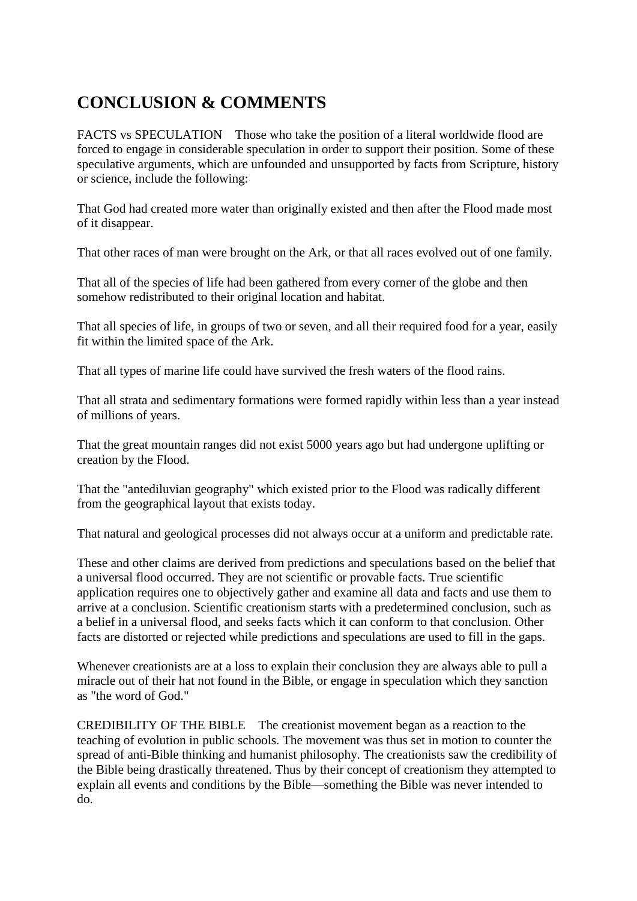## **CONCLUSION & COMMENTS**

FACTS vs SPECULATION Those who take the position of a literal worldwide flood are forced to engage in considerable speculation in order to support their position. Some of these speculative arguments, which are unfounded and unsupported by facts from Scripture, history or science, include the following:

That God had created more water than originally existed and then after the Flood made most of it disappear.

That other races of man were brought on the Ark, or that all races evolved out of one family.

That all of the species of life had been gathered from every corner of the globe and then somehow redistributed to their original location and habitat.

That all species of life, in groups of two or seven, and all their required food for a year, easily fit within the limited space of the Ark.

That all types of marine life could have survived the fresh waters of the flood rains.

That all strata and sedimentary formations were formed rapidly within less than a year instead of millions of years.

That the great mountain ranges did not exist 5000 years ago but had undergone uplifting or creation by the Flood.

That the "antediluvian geography" which existed prior to the Flood was radically different from the geographical layout that exists today.

That natural and geological processes did not always occur at a uniform and predictable rate.

These and other claims are derived from predictions and speculations based on the belief that a universal flood occurred. They are not scientific or provable facts. True scientific application requires one to objectively gather and examine all data and facts and use them to arrive at a conclusion. Scientific creationism starts with a predetermined conclusion, such as a belief in a universal flood, and seeks facts which it can conform to that conclusion. Other facts are distorted or rejected while predictions and speculations are used to fill in the gaps.

Whenever creationists are at a loss to explain their conclusion they are always able to pull a miracle out of their hat not found in the Bible, or engage in speculation which they sanction as "the word of God."

CREDIBILITY OF THE BIBLE The creationist movement began as a reaction to the teaching of evolution in public schools. The movement was thus set in motion to counter the spread of anti-Bible thinking and humanist philosophy. The creationists saw the credibility of the Bible being drastically threatened. Thus by their concept of creationism they attempted to explain all events and conditions by the Bible—something the Bible was never intended to do.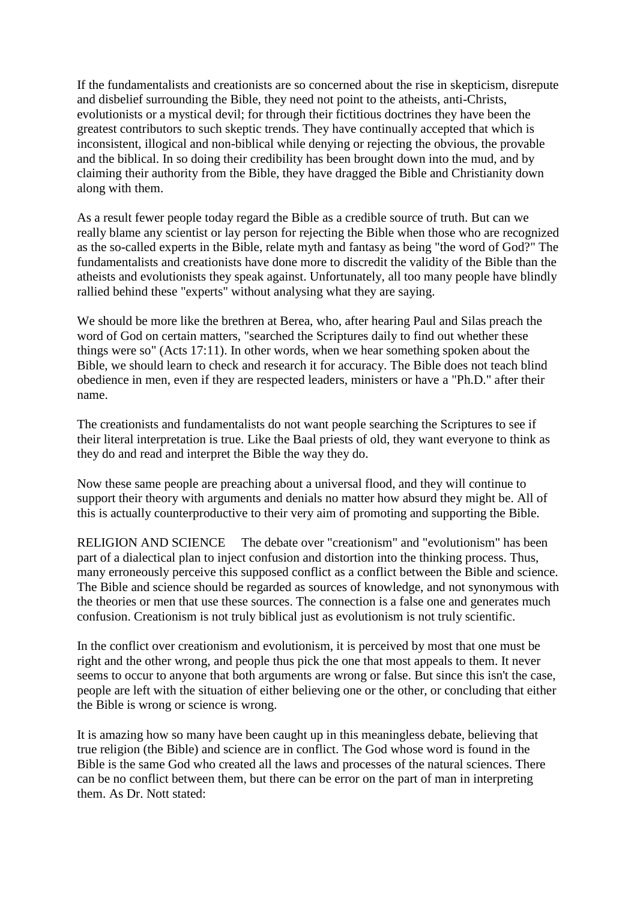If the fundamentalists and creationists are so concerned about the rise in skepticism, disrepute and disbelief surrounding the Bible, they need not point to the atheists, anti-Christs, evolutionists or a mystical devil; for through their fictitious doctrines they have been the greatest contributors to such skeptic trends. They have continually accepted that which is inconsistent, illogical and non-biblical while denying or rejecting the obvious, the provable and the biblical. In so doing their credibility has been brought down into the mud, and by claiming their authority from the Bible, they have dragged the Bible and Christianity down along with them.

As a result fewer people today regard the Bible as a credible source of truth. But can we really blame any scientist or lay person for rejecting the Bible when those who are recognized as the so-called experts in the Bible, relate myth and fantasy as being "the word of God?" The fundamentalists and creationists have done more to discredit the validity of the Bible than the atheists and evolutionists they speak against. Unfortunately, all too many people have blindly rallied behind these "experts" without analysing what they are saying.

We should be more like the brethren at Berea, who, after hearing Paul and Silas preach the word of God on certain matters, "searched the Scriptures daily to find out whether these things were so" (Acts 17:11). In other words, when we hear something spoken about the Bible, we should learn to check and research it for accuracy. The Bible does not teach blind obedience in men, even if they are respected leaders, ministers or have a "Ph.D." after their name.

The creationists and fundamentalists do not want people searching the Scriptures to see if their literal interpretation is true. Like the Baal priests of old, they want everyone to think as they do and read and interpret the Bible the way they do.

Now these same people are preaching about a universal flood, and they will continue to support their theory with arguments and denials no matter how absurd they might be. All of this is actually counterproductive to their very aim of promoting and supporting the Bible.

RELIGION AND SCIENCE The debate over "creationism" and "evolutionism" has been part of a dialectical plan to inject confusion and distortion into the thinking process. Thus, many erroneously perceive this supposed conflict as a conflict between the Bible and science. The Bible and science should be regarded as sources of knowledge, and not synonymous with the theories or men that use these sources. The connection is a false one and generates much confusion. Creationism is not truly biblical just as evolutionism is not truly scientific.

In the conflict over creationism and evolutionism, it is perceived by most that one must be right and the other wrong, and people thus pick the one that most appeals to them. It never seems to occur to anyone that both arguments are wrong or false. But since this isn't the case, people are left with the situation of either believing one or the other, or concluding that either the Bible is wrong or science is wrong.

It is amazing how so many have been caught up in this meaningless debate, believing that true religion (the Bible) and science are in conflict. The God whose word is found in the Bible is the same God who created all the laws and processes of the natural sciences. There can be no conflict between them, but there can be error on the part of man in interpreting them. As Dr. Nott stated: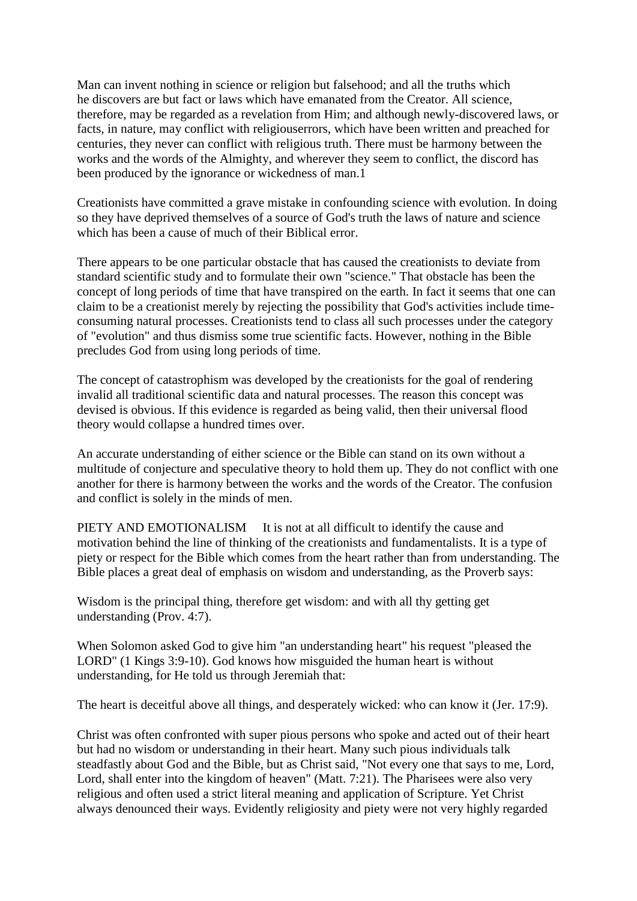Man can invent nothing in science or religion but falsehood; and all the truths which he discovers are but fact or laws which have emanated from the Creator. All science, therefore, may be regarded as a revelation from Him; and although newly-discovered laws, or facts, in nature, may conflict with religiouserrors, which have been written and preached for centuries, they never can conflict with religious truth. There must be harmony between the works and the words of the Almighty, and wherever they seem to conflict, the discord has been produced by the ignorance or wickedness of man.1

Creationists have committed a grave mistake in confounding science with evolution. In doing so they have deprived themselves of a source of God's truth the laws of nature and science which has been a cause of much of their Biblical error.

There appears to be one particular obstacle that has caused the creationists to deviate from standard scientific study and to formulate their own "science." That obstacle has been the concept of long periods of time that have transpired on the earth. In fact it seems that one can claim to be a creationist merely by rejecting the possibility that God's activities include timeconsuming natural processes. Creationists tend to class all such processes under the category of "evolution" and thus dismiss some true scientific facts. However, nothing in the Bible precludes God from using long periods of time.

The concept of catastrophism was developed by the creationists for the goal of rendering invalid all traditional scientific data and natural processes. The reason this concept was devised is obvious. If this evidence is regarded as being valid, then their universal flood theory would collapse a hundred times over.

An accurate understanding of either science or the Bible can stand on its own without a multitude of conjecture and speculative theory to hold them up. They do not conflict with one another for there is harmony between the works and the words of the Creator. The confusion and conflict is solely in the minds of men.

PIETY AND EMOTIONALISM It is not at all difficult to identify the cause and motivation behind the line of thinking of the creationists and fundamentalists. It is a type of piety or respect for the Bible which comes from the heart rather than from understanding. The Bible places a great deal of emphasis on wisdom and understanding, as the Proverb says:

Wisdom is the principal thing, therefore get wisdom: and with all thy getting get understanding (Prov. 4:7).

When Solomon asked God to give him "an understanding heart" his request "pleased the LORD" (1 Kings 3:9-10). God knows how misguided the human heart is without understanding, for He told us through Jeremiah that:

The heart is deceitful above all things, and desperately wicked: who can know it (Jer. 17:9).

Christ was often confronted with super pious persons who spoke and acted out of their heart but had no wisdom or understanding in their heart. Many such pious individuals talk steadfastly about God and the Bible, but as Christ said, "Not every one that says to me, Lord, Lord, shall enter into the kingdom of heaven" (Matt. 7:21). The Pharisees were also very religious and often used a strict literal meaning and application of Scripture. Yet Christ always denounced their ways. Evidently religiosity and piety were not very highly regarded